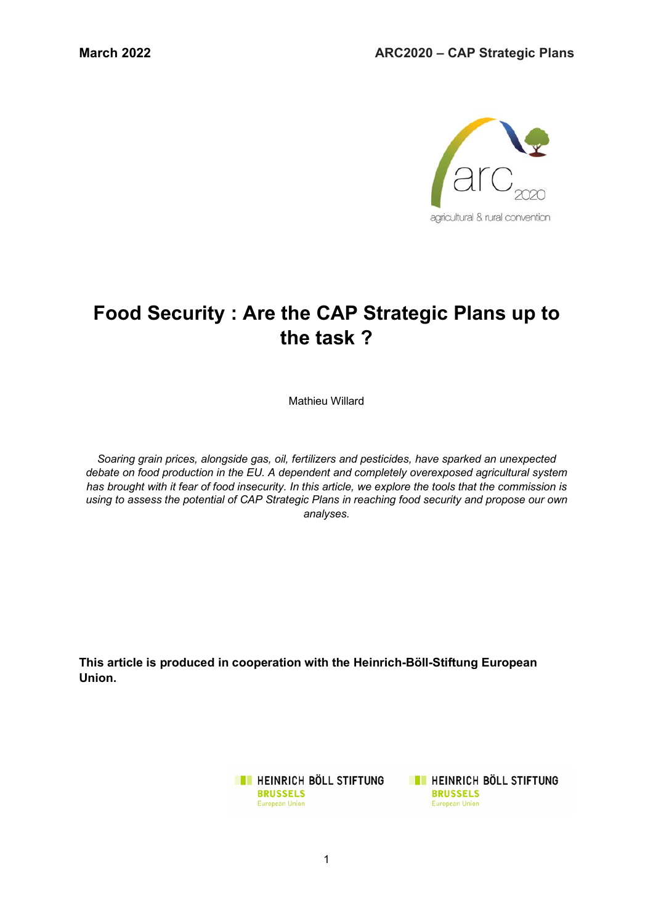

# **Food Security : Are the CAP Strategic Plans up to the task ?**

Mathieu Willard

*Soaring grain prices, alongside gas, oil, fertilizers and pesticides, have sparked an unexpected debate on food production in the EU. A dependent and completely overexposed agricultural system has brought with it fear of food insecurity. In this article, we explore the tools that the commission is using to assess the potential of CAP Strategic Plans in reaching food security and propose our own analyses.* 

**This article is produced in cooperation with the Heinrich-Böll-Stiftung European Union.**

> **EXECUTE IN HEINRICH BÖLL STIFTUNG BRUSSELS** European Union

**TE HEINRICH BÖLL STIFTUNG BRUSSELS** European Union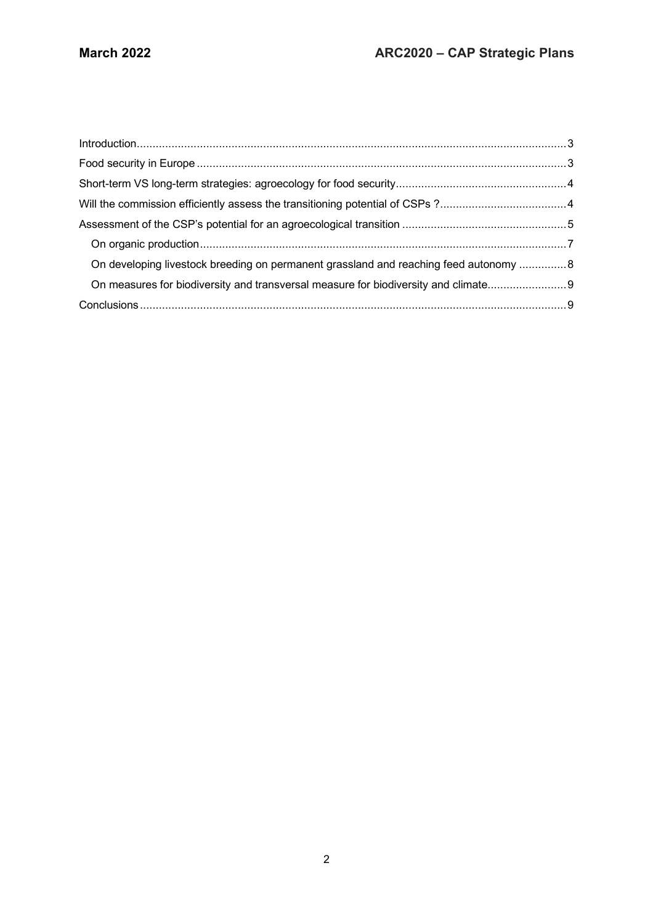| On developing livestock breeding on permanent grassland and reaching feed autonomy  8 |  |
|---------------------------------------------------------------------------------------|--|
| On measures for biodiversity and transversal measure for biodiversity and climate     |  |
|                                                                                       |  |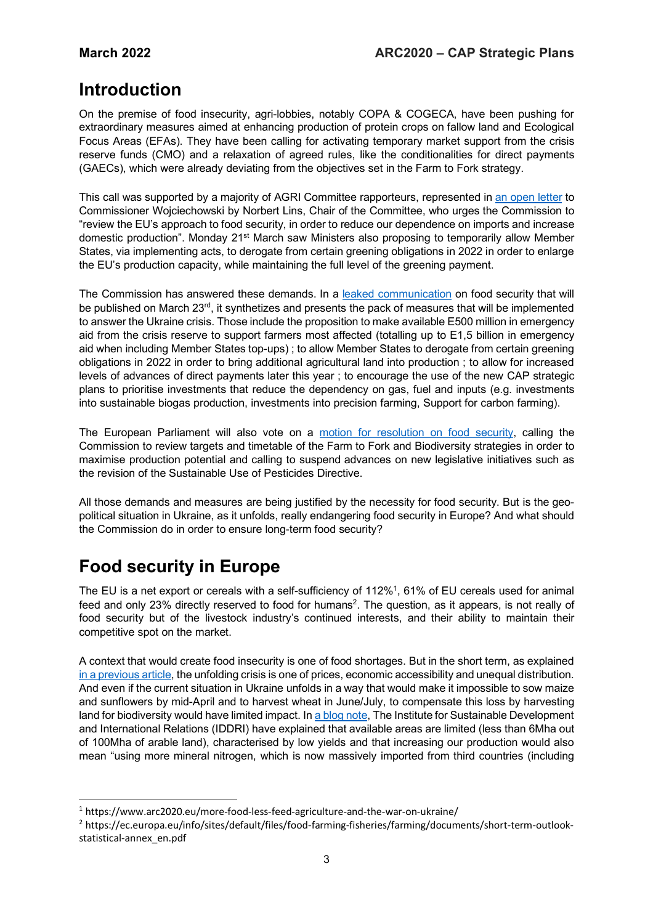## **Introduction**

On the premise of food insecurity, agri-lobbies, notably COPA & COGECA, have been pushing for extraordinary measures aimed at enhancing production of protein crops on fallow land and Ecological Focus Areas (EFAs). They have been calling for activating temporary market support from the crisis reserve funds (CMO) and a relaxation of agreed rules, like the conditionalities for direct payments (GAECs), which were already deviating from the objectives set in the Farm to Fork strategy.

This call was supported by a majority of AGRI Committee rapporteurs, represented in an open letter to Commissioner Wojciechowski by Norbert Lins, Chair of the Committee, who urges the Commission to "review the EU's approach to food security, in order to reduce our dependence on imports and increase domestic production". Monday 21st March saw Ministers also proposing to temporarily allow Member States, via implementing acts, to derogate from certain greening obligations in 2022 in order to enlarge the EU's production capacity, while maintaining the full level of the greening payment.

The Commission has answered these demands. In a leaked communication on food security that will be published on March 23<sup>rd</sup>, it synthetizes and presents the pack of measures that will be implemented to answer the Ukraine crisis. Those include the proposition to make available E500 million in emergency aid from the crisis reserve to support farmers most affected (totalling up to E1,5 billion in emergency aid when including Member States top-ups) ; to allow Member States to derogate from certain greening obligations in 2022 in order to bring additional agricultural land into production ; to allow for increased levels of advances of direct payments later this year ; to encourage the use of the new CAP strategic plans to prioritise investments that reduce the dependency on gas, fuel and inputs (e.g. investments into sustainable biogas production, investments into precision farming, Support for carbon farming).

The European Parliament will also vote on a motion for resolution on food security, calling the Commission to review targets and timetable of the Farm to Fork and Biodiversity strategies in order to maximise production potential and calling to suspend advances on new legislative initiatives such as the revision of the Sustainable Use of Pesticides Directive.

All those demands and measures are being justified by the necessity for food security. But is the geopolitical situation in Ukraine, as it unfolds, really endangering food security in Europe? And what should the Commission do in order to ensure long-term food security?

## **Food security in Europe**

l

The EU is a net export or cereals with a self-sufficiency of 112%<sup>1</sup>, 61% of EU cereals used for animal feed and only 23% directly reserved to food for humans<sup>2</sup>. The question, as it appears, is not really of food security but of the livestock industry's continued interests, and their ability to maintain their competitive spot on the market.

A context that would create food insecurity is one of food shortages. But in the short term, as explained in a previous article, the unfolding crisis is one of prices, economic accessibility and unequal distribution. And even if the current situation in Ukraine unfolds in a way that would make it impossible to sow maize and sunflowers by mid-April and to harvest wheat in June/July, to compensate this loss by harvesting land for biodiversity would have limited impact. In a blog note, The Institute for Sustainable Development and International Relations (IDDRI) have explained that available areas are limited (less than 6Mha out of 100Mha of arable land), characterised by low yields and that increasing our production would also mean "using more mineral nitrogen, which is now massively imported from third countries (including

<sup>1</sup> https://www.arc2020.eu/more-food-less-feed-agriculture-and-the-war-on-ukraine/

<sup>2</sup> https://ec.europa.eu/info/sites/default/files/food-farming-fisheries/farming/documents/short-term-outlookstatistical-annex\_en.pdf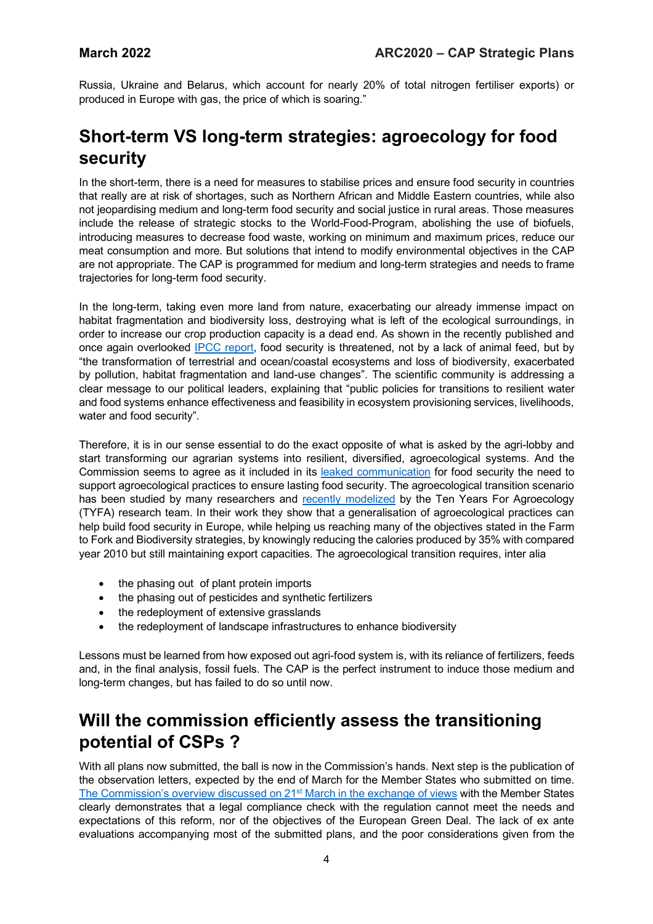Russia, Ukraine and Belarus, which account for nearly 20% of total nitrogen fertiliser exports) or produced in Europe with gas, the price of which is soaring."

## **Short-term VS long-term strategies: agroecology for food security**

In the short-term, there is a need for measures to stabilise prices and ensure food security in countries that really are at risk of shortages, such as Northern African and Middle Eastern countries, while also not jeopardising medium and long-term food security and social justice in rural areas. Those measures include the release of strategic stocks to the World-Food-Program, abolishing the use of biofuels, introducing measures to decrease food waste, working on minimum and maximum prices, reduce our meat consumption and more. But solutions that intend to modify environmental objectives in the CAP are not appropriate. The CAP is programmed for medium and long-term strategies and needs to frame trajectories for long-term food security.

In the long-term, taking even more land from nature, exacerbating our already immense impact on habitat fragmentation and biodiversity loss, destroying what is left of the ecological surroundings, in order to increase our crop production capacity is a dead end. As shown in the recently published and once again overlooked IPCC report, food security is threatened, not by a lack of animal feed, but by "the transformation of terrestrial and ocean/coastal ecosystems and loss of biodiversity, exacerbated by pollution, habitat fragmentation and land-use changes". The scientific community is addressing a clear message to our political leaders, explaining that "public policies for transitions to resilient water and food systems enhance effectiveness and feasibility in ecosystem provisioning services, livelihoods, water and food security".

Therefore, it is in our sense essential to do the exact opposite of what is asked by the agri-lobby and start transforming our agrarian systems into resilient, diversified, agroecological systems. And the Commission seems to agree as it included in its leaked communication for food security the need to support agroecological practices to ensure lasting food security. The agroecological transition scenario has been studied by many researchers and recently modelized by the Ten Years For Agroecology (TYFA) research team. In their work they show that a generalisation of agroecological practices can help build food security in Europe, while helping us reaching many of the objectives stated in the Farm to Fork and Biodiversity strategies, by knowingly reducing the calories produced by 35% with compared year 2010 but still maintaining export capacities. The agroecological transition requires, inter alia

- the phasing out of plant protein imports
- the phasing out of pesticides and synthetic fertilizers
- the redeployment of extensive grasslands
- the redeployment of landscape infrastructures to enhance biodiversity

Lessons must be learned from how exposed out agri-food system is, with its reliance of fertilizers, feeds and, in the final analysis, fossil fuels. The CAP is the perfect instrument to induce those medium and long-term changes, but has failed to do so until now.

## **Will the commission efficiently assess the transitioning potential of CSPs ?**

With all plans now submitted, the ball is now in the Commission's hands. Next step is the publication of the observation letters, expected by the end of March for the Member States who submitted on time. The Commission's overview discussed on 21<sup>st</sup> March in the exchange of views with the Member States clearly demonstrates that a legal compliance check with the regulation cannot meet the needs and expectations of this reform, nor of the objectives of the European Green Deal. The lack of ex ante evaluations accompanying most of the submitted plans, and the poor considerations given from the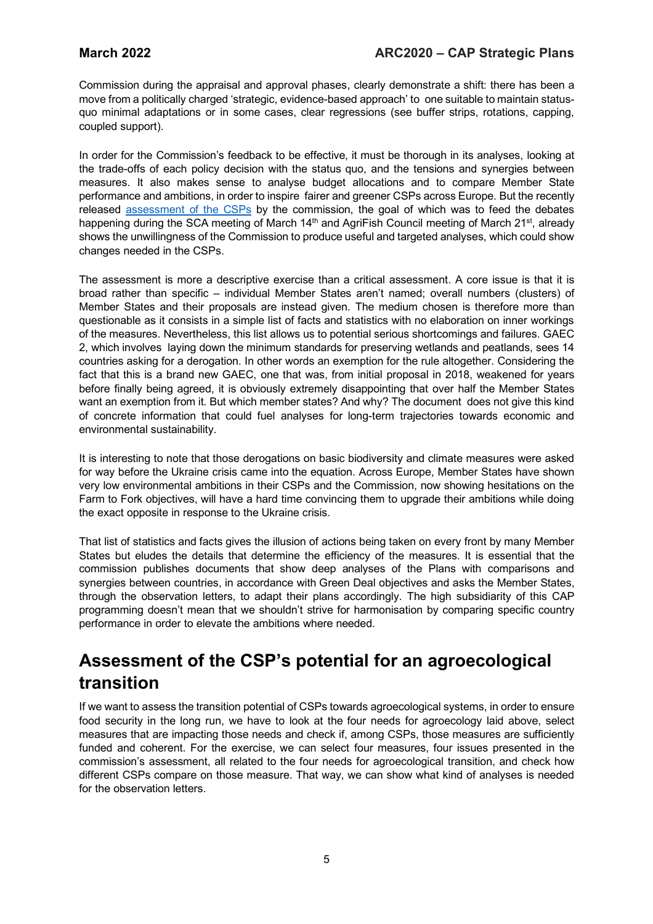Commission during the appraisal and approval phases, clearly demonstrate a shift: there has been a move from a politically charged 'strategic, evidence-based approach' to one suitable to maintain statusquo minimal adaptations or in some cases, clear regressions (see buffer strips, rotations, capping, coupled support).

In order for the Commission's feedback to be effective, it must be thorough in its analyses, looking at the trade-offs of each policy decision with the status quo, and the tensions and synergies between measures. It also makes sense to analyse budget allocations and to compare Member State performance and ambitions, in order to inspire fairer and greener CSPs across Europe. But the recently released assessment of the CSPs by the commission, the goal of which was to feed the debates happening during the SCA meeting of March 14<sup>th</sup> and AgriFish Council meeting of March 21<sup>st</sup>, already shows the unwillingness of the Commission to produce useful and targeted analyses, which could show changes needed in the CSPs.

The assessment is more a descriptive exercise than a critical assessment. A core issue is that it is broad rather than specific – individual Member States aren't named; overall numbers (clusters) of Member States and their proposals are instead given. The medium chosen is therefore more than questionable as it consists in a simple list of facts and statistics with no elaboration on inner workings of the measures. Nevertheless, this list allows us to potential serious shortcomings and failures. GAEC 2, which involves laying down the minimum standards for preserving wetlands and peatlands, sees 14 countries asking for a derogation. In other words an exemption for the rule altogether. Considering the fact that this is a brand new GAEC, one that was, from initial proposal in 2018, weakened for years before finally being agreed, it is obviously extremely disappointing that over half the Member States want an exemption from it. But which member states? And why? The document does not give this kind of concrete information that could fuel analyses for long-term trajectories towards economic and environmental sustainability.

It is interesting to note that those derogations on basic biodiversity and climate measures were asked for way before the Ukraine crisis came into the equation. Across Europe, Member States have shown very low environmental ambitions in their CSPs and the Commission, now showing hesitations on the Farm to Fork objectives, will have a hard time convincing them to upgrade their ambitions while doing the exact opposite in response to the Ukraine crisis.

That list of statistics and facts gives the illusion of actions being taken on every front by many Member States but eludes the details that determine the efficiency of the measures. It is essential that the commission publishes documents that show deep analyses of the Plans with comparisons and synergies between countries, in accordance with Green Deal objectives and asks the Member States, through the observation letters, to adapt their plans accordingly. The high subsidiarity of this CAP programming doesn't mean that we shouldn't strive for harmonisation by comparing specific country performance in order to elevate the ambitions where needed.

## **Assessment of the CSP's potential for an agroecological transition**

If we want to assess the transition potential of CSPs towards agroecological systems, in order to ensure food security in the long run, we have to look at the four needs for agroecology laid above, select measures that are impacting those needs and check if, among CSPs, those measures are sufficiently funded and coherent. For the exercise, we can select four measures, four issues presented in the commission's assessment, all related to the four needs for agroecological transition, and check how different CSPs compare on those measure. That way, we can show what kind of analyses is needed for the observation letters.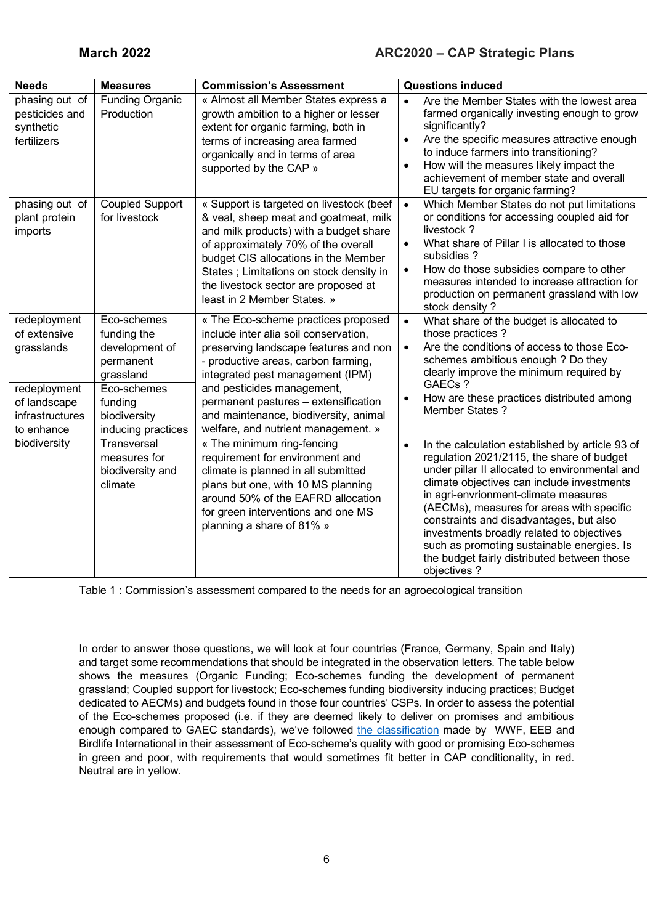| <b>Needs</b>                                                                                                | <b>Measures</b>                                                                                                                        | <b>Commission's Assessment</b>                                                                                                                                                                                                                                                                                                                         | <b>Questions induced</b>                                                                                                                                                                                                                                                                                                                                                                                                                                                                            |
|-------------------------------------------------------------------------------------------------------------|----------------------------------------------------------------------------------------------------------------------------------------|--------------------------------------------------------------------------------------------------------------------------------------------------------------------------------------------------------------------------------------------------------------------------------------------------------------------------------------------------------|-----------------------------------------------------------------------------------------------------------------------------------------------------------------------------------------------------------------------------------------------------------------------------------------------------------------------------------------------------------------------------------------------------------------------------------------------------------------------------------------------------|
| phasing out of<br>pesticides and<br>synthetic<br>fertilizers                                                | <b>Funding Organic</b><br>Production                                                                                                   | « Almost all Member States express a<br>growth ambition to a higher or lesser<br>extent for organic farming, both in<br>terms of increasing area farmed<br>organically and in terms of area<br>supported by the CAP »                                                                                                                                  | Are the Member States with the lowest area<br>$\bullet$<br>farmed organically investing enough to grow<br>significantly?<br>Are the specific measures attractive enough<br>$\bullet$<br>to induce farmers into transitioning?<br>How will the measures likely impact the<br>$\bullet$<br>achievement of member state and overall<br>EU targets for organic farming?                                                                                                                                 |
| phasing out of<br>plant protein<br>imports                                                                  | <b>Coupled Support</b><br>for livestock                                                                                                | « Support is targeted on livestock (beef<br>& veal, sheep meat and goatmeat, milk<br>and milk products) with a budget share<br>of approximately 70% of the overall<br>budget CIS allocations in the Member<br>States ; Limitations on stock density in<br>the livestock sector are proposed at<br>least in 2 Member States. »                          | Which Member States do not put limitations<br>$\bullet$<br>or conditions for accessing coupled aid for<br>livestock?<br>What share of Pillar I is allocated to those<br>$\bullet$<br>subsidies ?<br>How do those subsidies compare to other<br>$\bullet$<br>measures intended to increase attraction for<br>production on permanent grassland with low<br>stock density?                                                                                                                            |
| redeployment<br>of extensive<br>grasslands<br>redeployment<br>of landscape<br>infrastructures<br>to enhance | Eco-schemes<br>funding the<br>development of<br>permanent<br>grassland<br>Eco-schemes<br>funding<br>biodiversity<br>inducing practices | « The Eco-scheme practices proposed<br>include inter alia soil conservation,<br>preserving landscape features and non<br>- productive areas, carbon farming,<br>integrated pest management (IPM)<br>and pesticides management,<br>permanent pastures - extensification<br>and maintenance, biodiversity, animal<br>welfare, and nutrient management. » | What share of the budget is allocated to<br>$\bullet$<br>those practices?<br>Are the conditions of access to those Eco-<br>$\bullet$<br>schemes ambitious enough ? Do they<br>clearly improve the minimum required by<br>GAECs?<br>How are these practices distributed among<br>$\bullet$<br><b>Member States?</b>                                                                                                                                                                                  |
| biodiversity                                                                                                | <b>Transversal</b><br>measures for<br>biodiversity and<br>climate                                                                      | « The minimum ring-fencing<br>requirement for environment and<br>climate is planned in all submitted<br>plans but one, with 10 MS planning<br>around 50% of the EAFRD allocation<br>for green interventions and one MS<br>planning a share of 81% »                                                                                                    | In the calculation established by article 93 of<br>$\bullet$<br>regulation 2021/2115, the share of budget<br>under pillar II allocated to environmental and<br>climate objectives can include investments<br>in agri-envrionment-climate measures<br>(AECMs), measures for areas with specific<br>constraints and disadvantages, but also<br>investments broadly related to objectives<br>such as promoting sustainable energies. Is<br>the budget fairly distributed between those<br>objectives ? |

Table 1 : Commission's assessment compared to the needs for an agroecological transition

In order to answer those questions, we will look at four countries (France, Germany, Spain and Italy) and target some recommendations that should be integrated in the observation letters. The table below shows the measures (Organic Funding; Eco-schemes funding the development of permanent grassland; Coupled support for livestock; Eco-schemes funding biodiversity inducing practices; Budget dedicated to AECMs) and budgets found in those four countries' CSPs. In order to assess the potential of the Eco-schemes proposed (i.e. if they are deemed likely to deliver on promises and ambitious enough compared to GAEC standards), we've followed the classification made by WWF, EEB and Birdlife International in their assessment of Eco-scheme's quality with good or promising Eco-schemes in green and poor, with requirements that would sometimes fit better in CAP conditionality, in red. Neutral are in yellow.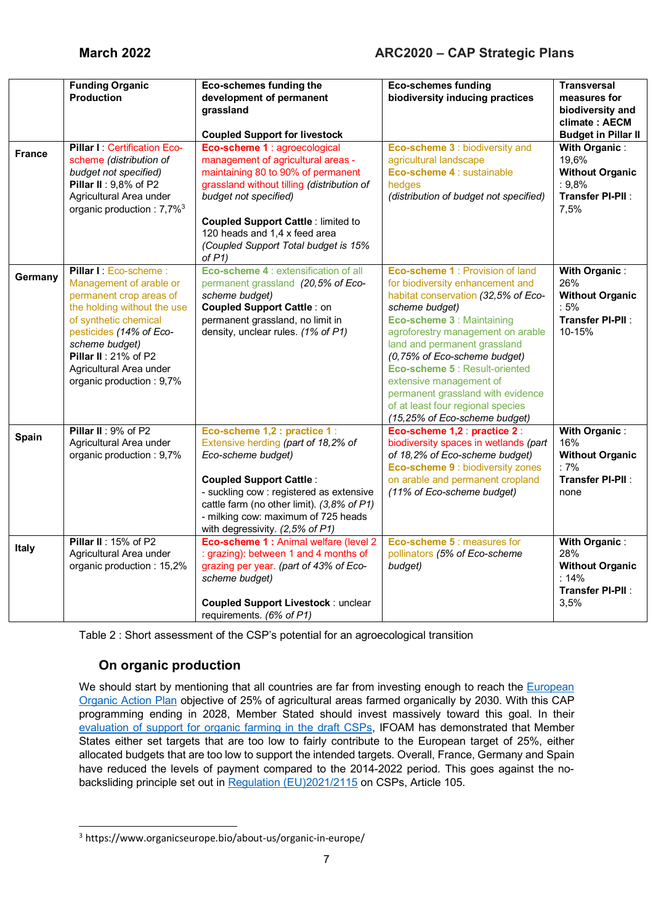|               | <b>Funding Organic</b>                                                                                                                                                                                                                                          | <b>Eco-schemes funding the</b>                                                                                                                                                                                                                                                                                      | <b>Eco-schemes funding</b>                                                                                                                                                                                                                                                                                                                                                                                                               | <b>Transversal</b>                                                                            |
|---------------|-----------------------------------------------------------------------------------------------------------------------------------------------------------------------------------------------------------------------------------------------------------------|---------------------------------------------------------------------------------------------------------------------------------------------------------------------------------------------------------------------------------------------------------------------------------------------------------------------|------------------------------------------------------------------------------------------------------------------------------------------------------------------------------------------------------------------------------------------------------------------------------------------------------------------------------------------------------------------------------------------------------------------------------------------|-----------------------------------------------------------------------------------------------|
|               | <b>Production</b>                                                                                                                                                                                                                                               | development of permanent<br>grassland                                                                                                                                                                                                                                                                               | biodiversity inducing practices                                                                                                                                                                                                                                                                                                                                                                                                          | measures for<br>biodiversity and<br>climate: AECM                                             |
|               |                                                                                                                                                                                                                                                                 | <b>Coupled Support for livestock</b>                                                                                                                                                                                                                                                                                |                                                                                                                                                                                                                                                                                                                                                                                                                                          | <b>Budget in Pillar II</b>                                                                    |
| <b>France</b> | Pillar I: Certification Eco-<br>scheme (distribution of<br>budget not specified)<br>Pillar II: 9,8% of P2<br>Agricultural Area under<br>organic production : 7,7% <sup>3</sup>                                                                                  | Eco-scheme 1 : agroecological<br>management of agricultural areas -<br>maintaining 80 to 90% of permanent<br>grassland without tilling (distribution of<br>budget not specified)<br><b>Coupled Support Cattle: limited to</b><br>120 heads and 1,4 x feed area<br>(Coupled Support Total budget is 15%<br>of $P1$ ) | Eco-scheme 3 : biodiversity and<br>agricultural landscape<br>Eco-scheme 4 : sustainable<br>hedges<br>(distribution of budget not specified)                                                                                                                                                                                                                                                                                              | With Organic:<br>19,6%<br><b>Without Organic</b><br>: 9,8%<br><b>Transfer PI-PII:</b><br>7,5% |
| Germany       | Pillar I: Eco-scheme:<br>Management of arable or<br>permanent crop areas of<br>the holding without the use<br>of synthetic chemical<br>pesticides (14% of Eco-<br>scheme budget)<br>Pillar II: 21% of P2<br>Agricultural Area under<br>organic production: 9,7% | Eco-scheme 4 : extensification of all<br>permanent grassland (20,5% of Eco-<br>scheme budget)<br><b>Coupled Support Cattle: on</b><br>permanent grassland, no limit in<br>density, unclear rules. (1% of P1)                                                                                                        | Eco-scheme 1 : Provision of land<br>for biodiversity enhancement and<br>habitat conservation (32,5% of Eco-<br>scheme budget)<br>Eco-scheme 3 : Maintaining<br>agroforestry management on arable<br>land and permanent grassland<br>(0,75% of Eco-scheme budget)<br>Eco-scheme 5 : Result-oriented<br>extensive management of<br>permanent grassland with evidence<br>of at least four regional species<br>(15,25% of Eco-scheme budget) | With Organic:<br>26%<br><b>Without Organic</b><br>$:5\%$<br><b>Transfer PI-PII:</b><br>10-15% |
| Spain         | Pillar II: 9% of P2<br>Agricultural Area under<br>organic production: 9,7%                                                                                                                                                                                      | Eco-scheme 1,2 : practice 1 :<br>Extensive herding (part of 18,2% of<br>Eco-scheme budget)<br><b>Coupled Support Cattle:</b><br>- suckling cow : registered as extensive<br>cattle farm (no other limit). (3,8% of P1)<br>- milking cow: maximum of 725 heads<br>with degressivity. (2,5% of P1)                    | Eco-scheme 1,2 : practice 2 :<br>biodiversity spaces in wetlands (part<br>of 18,2% of Eco-scheme budget)<br>Eco-scheme 9 : biodiversity zones<br>on arable and permanent cropland<br>(11% of Eco-scheme budget)                                                                                                                                                                                                                          | With Organic:<br>16%<br><b>Without Organic</b><br>$:7\%$<br><b>Transfer PI-PII:</b><br>none   |
| <b>Italy</b>  | Pillar II: 15% of P2<br>Agricultural Area under<br>organic production: 15,2%                                                                                                                                                                                    | Eco-scheme 1 : Animal welfare (level 2<br>: grazing): between 1 and 4 months of<br>grazing per year. (part of 43% of Eco-<br>scheme budget)<br><b>Coupled Support Livestock: unclear</b><br>requirements. (6% of P1)                                                                                                | Eco-scheme 5 : measures for<br>pollinators (5% of Eco-scheme<br>budget)                                                                                                                                                                                                                                                                                                                                                                  | <b>With Organic:</b><br>28%<br><b>Without Organic</b><br>: 14%<br>Transfer PI-PII:<br>3,5%    |

Table 2 : Short assessment of the CSP's potential for an agroecological transition

### **On organic production**

We should start by mentioning that all countries are far from investing enough to reach the European Organic Action Plan objective of 25% of agricultural areas farmed organically by 2030. With this CAP programming ending in 2028, Member Stated should invest massively toward this goal. In their evaluation of support for organic farming in the draft CSPs, IFOAM has demonstrated that Member States either set targets that are too low to fairly contribute to the European target of 25%, either allocated budgets that are too low to support the intended targets. Overall, France, Germany and Spain have reduced the levels of payment compared to the 2014-2022 period. This goes against the nobacksliding principle set out in Regulation (EU)2021/2115 on CSPs, Article 105.

l <sup>3</sup> https://www.organicseurope.bio/about-us/organic-in-europe/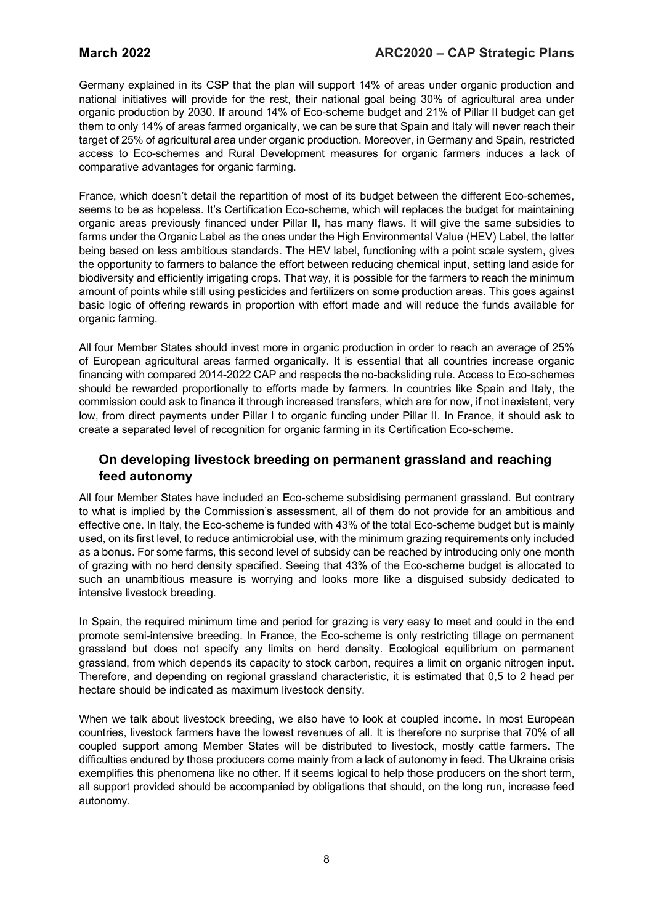Germany explained in its CSP that the plan will support 14% of areas under organic production and national initiatives will provide for the rest, their national goal being 30% of agricultural area under organic production by 2030. If around 14% of Eco-scheme budget and 21% of Pillar II budget can get them to only 14% of areas farmed organically, we can be sure that Spain and Italy will never reach their target of 25% of agricultural area under organic production. Moreover, in Germany and Spain, restricted access to Eco-schemes and Rural Development measures for organic farmers induces a lack of comparative advantages for organic farming.

France, which doesn't detail the repartition of most of its budget between the different Eco-schemes, seems to be as hopeless. It's Certification Eco-scheme, which will replaces the budget for maintaining organic areas previously financed under Pillar II, has many flaws. It will give the same subsidies to farms under the Organic Label as the ones under the High Environmental Value (HEV) Label, the latter being based on less ambitious standards. The HEV label, functioning with a point scale system, gives the opportunity to farmers to balance the effort between reducing chemical input, setting land aside for biodiversity and efficiently irrigating crops. That way, it is possible for the farmers to reach the minimum amount of points while still using pesticides and fertilizers on some production areas. This goes against basic logic of offering rewards in proportion with effort made and will reduce the funds available for organic farming.

All four Member States should invest more in organic production in order to reach an average of 25% of European agricultural areas farmed organically. It is essential that all countries increase organic financing with compared 2014-2022 CAP and respects the no-backsliding rule. Access to Eco-schemes should be rewarded proportionally to efforts made by farmers. In countries like Spain and Italy, the commission could ask to finance it through increased transfers, which are for now, if not inexistent, very low, from direct payments under Pillar I to organic funding under Pillar II. In France, it should ask to create a separated level of recognition for organic farming in its Certification Eco-scheme.

### **On developing livestock breeding on permanent grassland and reaching feed autonomy**

All four Member States have included an Eco-scheme subsidising permanent grassland. But contrary to what is implied by the Commission's assessment, all of them do not provide for an ambitious and effective one. In Italy, the Eco-scheme is funded with 43% of the total Eco-scheme budget but is mainly used, on its first level, to reduce antimicrobial use, with the minimum grazing requirements only included as a bonus. For some farms, this second level of subsidy can be reached by introducing only one month of grazing with no herd density specified. Seeing that 43% of the Eco-scheme budget is allocated to such an unambitious measure is worrying and looks more like a disguised subsidy dedicated to intensive livestock breeding.

In Spain, the required minimum time and period for grazing is very easy to meet and could in the end promote semi-intensive breeding. In France, the Eco-scheme is only restricting tillage on permanent grassland but does not specify any limits on herd density. Ecological equilibrium on permanent grassland, from which depends its capacity to stock carbon, requires a limit on organic nitrogen input. Therefore, and depending on regional grassland characteristic, it is estimated that 0,5 to 2 head per hectare should be indicated as maximum livestock density.

When we talk about livestock breeding, we also have to look at coupled income. In most European countries, livestock farmers have the lowest revenues of all. It is therefore no surprise that 70% of all coupled support among Member States will be distributed to livestock, mostly cattle farmers. The difficulties endured by those producers come mainly from a lack of autonomy in feed. The Ukraine crisis exemplifies this phenomena like no other. If it seems logical to help those producers on the short term, all support provided should be accompanied by obligations that should, on the long run, increase feed autonomy.